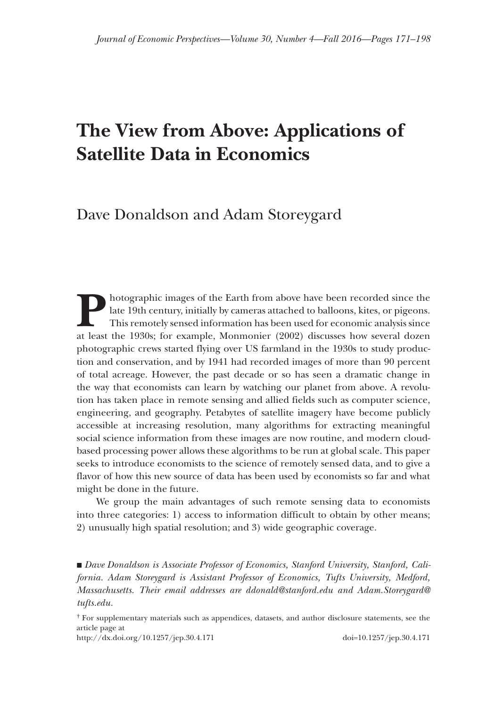# **The View from Above: Applications of Satellite Data in Economics**

## Dave Donaldson and Adam Storeygard

**P**hotographic images of the Earth from above have been recorded since the late 19th century, initially by cameras attached to balloons, kites, or pigeons. This remotely sensed information has been used for economic analysis since at least the 1930s; for example, Monmonier (2002) discusses how several dozen photographic crews started flying over US farmland in the 1930s to study production and conservation, and by 1941 had recorded images of more than 90 percent of total acreage. However, the past decade or so has seen a dramatic change in the way that economists can learn by watching our planet from above. A revolution has taken place in remote sensing and allied fields such as computer science, engineering, and geography. Petabytes of satellite imagery have become publicly accessible at increasing resolution, many algorithms for extracting meaningful social science information from these images are now routine, and modern cloudbased processing power allows these algorithms to be run at global scale. This paper seeks to introduce economists to the science of remotely sensed data, and to give a flavor of how this new source of data has been used by economists so far and what might be done in the future.

We group the main advantages of such remote sensing data to economists into three categories: 1) access to information difficult to obtain by other means; 2) unusually high spatial resolution; and 3) wide geographic coverage.

■ *Dave Donaldson is Associate Professor of Economics, Stanford University, Stanford, California. Adam Storeygard is Assistant Professor of Economics, Tufts University, Medford, Massachusetts. Their email addresses are ddonald@stanford.edu and Adam.Storeygard@ tufts.edu.*

† For supplementary materials such as appendices, datasets, and author disclosure statements, see the article page at http://dx.doi.org/10.1257/jep.30.4.171 doi=10.1257/jep.30.4.171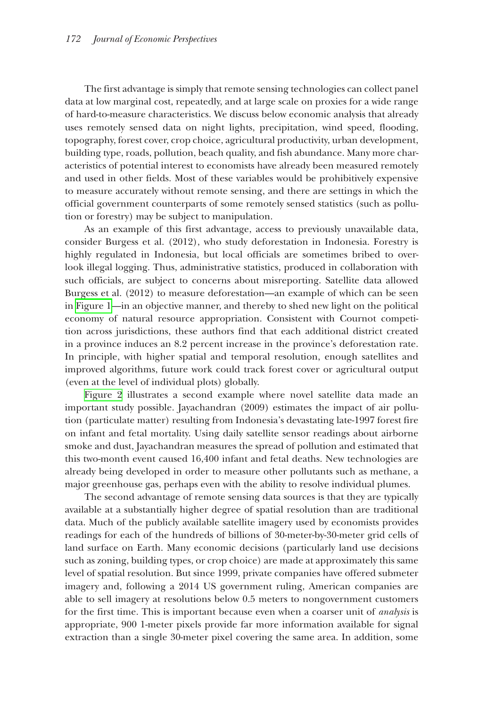The first advantage is simply that remote sensing technologies can collect panel data at low marginal cost, repeatedly, and at large scale on proxies for a wide range of hard-to-measure characteristics. We discuss below economic analysis that already uses remotely sensed data on night lights, precipitation, wind speed, flooding, topography, forest cover, crop choice, agricultural productivity, urban development, building type, roads, pollution, beach quality, and fish abundance. Many more characteristics of potential interest to economists have already been measured remotely and used in other fields. Most of these variables would be prohibitively expensive to measure accurately without remote sensing, and there are settings in which the official government counterparts of some remotely sensed statistics (such as pollution or forestry) may be subject to manipulation.

As an example of this first advantage, access to previously unavailable data, consider Burgess et al. (2012), who study deforestation in Indonesia. Forestry is highly regulated in Indonesia, but local officials are sometimes bribed to overlook illegal logging. Thus, administrative statistics, produced in collaboration with such officials, are subject to concerns about misreporting. Satellite data allowed Burgess et al. (2012) to measure deforestation—an example of which can be seen in [Figure](#page-2-0) 1—in an objective manner, and thereby to shed new light on the political economy of natural resource appropriation. Consistent with Cournot competition across jurisdictions, these authors find that each additional district created in a province induces an 8.2 percent increase in the province's deforestation rate. In principle, with higher spatial and temporal resolution, enough satellites and improved algorithms, future work could track forest cover or agricultural output (even at the level of individual plots) globally.

[Figure 2](#page-3-0) illustrates a second example where novel satellite data made an important study possible. Jayachandran (2009) estimates the impact of air pollution (particulate matter) resulting from Indonesia's devastating late-1997 forest fire on infant and fetal mortality. Using daily satellite sensor readings about airborne smoke and dust, Jayachandran measures the spread of pollution and estimated that this two-month event caused 16,400 infant and fetal deaths. New technologies are already being developed in order to measure other pollutants such as methane, a major greenhouse gas, perhaps even with the ability to resolve individual plumes.

The second advantage of remote sensing data sources is that they are typically available at a substantially higher degree of spatial resolution than are traditional data. Much of the publicly available satellite imagery used by economists provides readings for each of the hundreds of billions of 30-meter-by-30-meter grid cells of land surface on Earth. Many economic decisions (particularly land use decisions such as zoning, building types, or crop choice) are made at approximately this same level of spatial resolution. But since 1999, private companies have offered submeter imagery and, following a 2014 US government ruling, American companies are able to sell imagery at resolutions below 0.5 meters to nongovernment customers for the first time. This is important because even when a coarser unit of *analysis* is appropriate, 900 1-meter pixels provide far more information available for signal extraction than a single 30-meter pixel covering the same area. In addition, some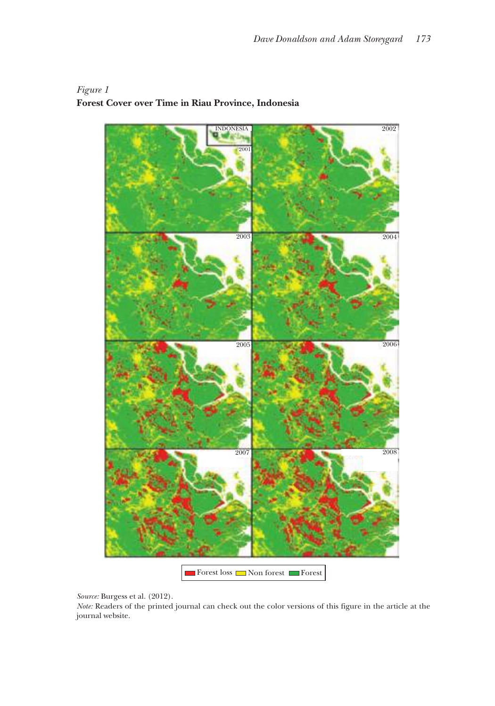

## <span id="page-2-0"></span>*Figure 1*  **Forest Cover over Time in Riau Province, Indonesia**

*Source:* Burgess et al. (2012).

*Note:* Readers of the printed journal can check out the color versions of this figure in the article at the journal website.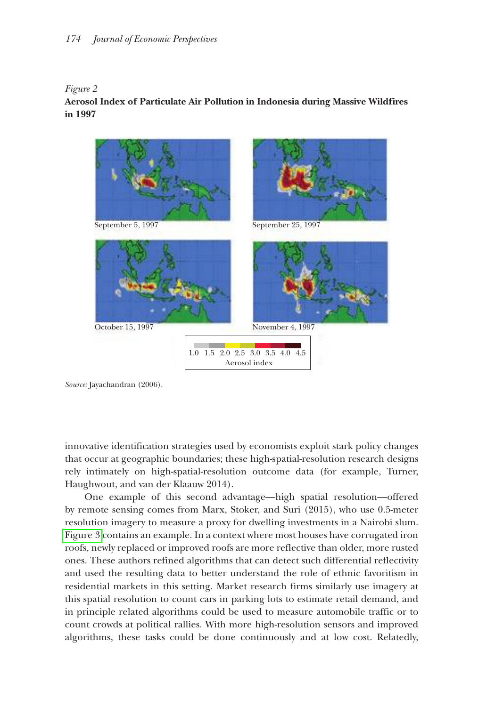## <span id="page-3-0"></span>*Figure 2*

**Aerosol Index of Particulate Air Pollution in Indonesia during Massive Wildfires in 1997** 



*Source:* Jayachandran (2006).

innovative identification strategies used by economists exploit stark policy changes that occur at geographic boundaries; these high-spatial-resolution research designs rely intimately on high-spatial-resolution outcome data (for example, Turner, Haughwout, and van der Klaauw 2014).

One example of this second advantage—high spatial resolution—offered by remote sensing comes from Marx, Stoker, and Suri (2015), who use 0.5-meter resolution imagery to measure a proxy for dwelling investments in a Nairobi slum. [Figure](#page-4-0) 3 contains an example. In a context where most houses have corrugated iron roofs, newly replaced or improved roofs are more reflective than older, more rusted ones. These authors refined algorithms that can detect such differential reflectivity and used the resulting data to better understand the role of ethnic favoritism in residential markets in this setting. Market research firms similarly use imagery at this spatial resolution to count cars in parking lots to estimate retail demand, and in principle related algorithms could be used to measure automobile traffic or to count crowds at political rallies. With more high-resolution sensors and improved algorithms, these tasks could be done continuously and at low cost. Relatedly,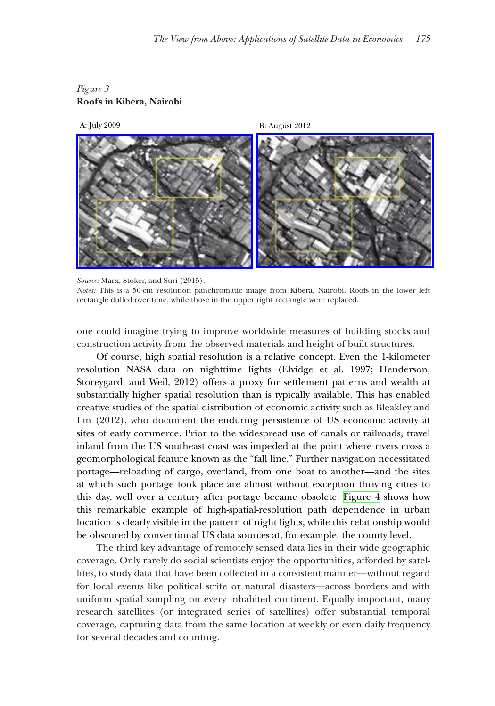## <span id="page-4-0"></span>*Figure 3*  **Roofs in Kibera, Nairobi**



*Source:* Marx, Stoker, and Suri (2015).

*Notes:* This is a 50-cm resolution panchromatic image from Kibera, Nairobi. Roofs in the lower left rectangle dulled over time, while those in the upper right rectangle were replaced.

one could imagine trying to improve worldwide measures of building stocks and construction activity from the observed materials and height of built structures.

Of course, high spatial resolution is a relative concept. Even the 1-kilometer resolution NASA data on nighttime lights (Elvidge et al. 1997; Henderson, Storeygard, and Weil, 2012) offers a proxy for settlement patterns and wealth at substantially higher spatial resolution than is typically available. This has enabled creative studies of the spatial distribution of economic activity such as Bleakley and Lin (2012), who document the enduring persistence of US economic activity at sites of early commerce. Prior to the widespread use of canals or railroads, travel inland from the US southeast coast was impeded at the point where rivers cross a geomorphological feature known as the "fall line." Further navigation necessitated portage—reloading of cargo, overland, from one boat to another—and the sites at which such portage took place are almost without exception thriving cities to this day, well over a century after portage became obsolete. [Figure 4](#page-5-0) shows how this remarkable example of high-spatial-resolution path dependence in urban location is clearly visible in the pattern of night lights, while this relationship would be obscured by conventional US data sources at, for example, the county level.

The third key advantage of remotely sensed data lies in their wide geographic coverage. Only rarely do social scientists enjoy the opportunities, afforded by satellites, to study data that have been collected in a consistent manner—without regard for local events like political strife or natural disasters—across borders and with uniform spatial sampling on every inhabited continent. Equally important, many research satellites (or integrated series of satellites) offer substantial temporal coverage, capturing data from the same location at weekly or even daily frequency for several decades and counting.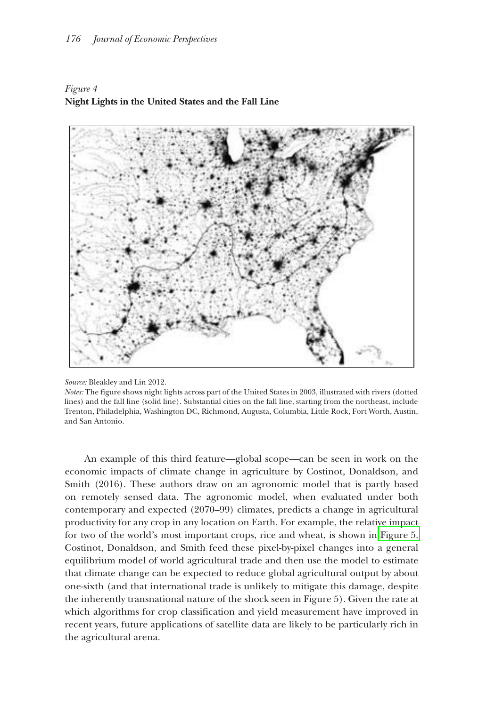<span id="page-5-0"></span>*Figure 4*  **Night Lights in the United States and the Fall Line**



*Source:* Bleakley and Lin 2012.

An example of this third feature—global scope—can be seen in work on the economic impacts of climate change in agriculture by Costinot, Donaldson, and Smith (2016). These authors draw on an agronomic model that is partly based on remotely sensed data. The agronomic model, when evaluated under both contemporary and expected (2070–99) climates, predicts a change in agricultural productivity for any crop in any location on Earth. For example, the relative impact for two of the world's most important crops, rice and wheat, is shown in [Figure](#page-6-0) 5. Costinot, Donaldson, and Smith feed these pixel-by-pixel changes into a general equilibrium model of world agricultural trade and then use the model to estimate that climate change can be expected to reduce global agricultural output by about one-sixth (and that international trade is unlikely to mitigate this damage, despite the inherently transnational nature of the shock seen in Figure 5). Given the rate at which algorithms for crop classification and yield measurement have improved in recent years, future applications of satellite data are likely to be particularly rich in the agricultural arena.

*Notes:* The figure shows night lights across part of the United States in 2003, illustrated with rivers (dotted lines) and the fall line (solid line). Substantial cities on the fall line, starting from the northeast, include Trenton, Philadelphia, Washington DC, Richmond, Augusta, Columbia, Little Rock, Fort Worth, Austin, and San Antonio.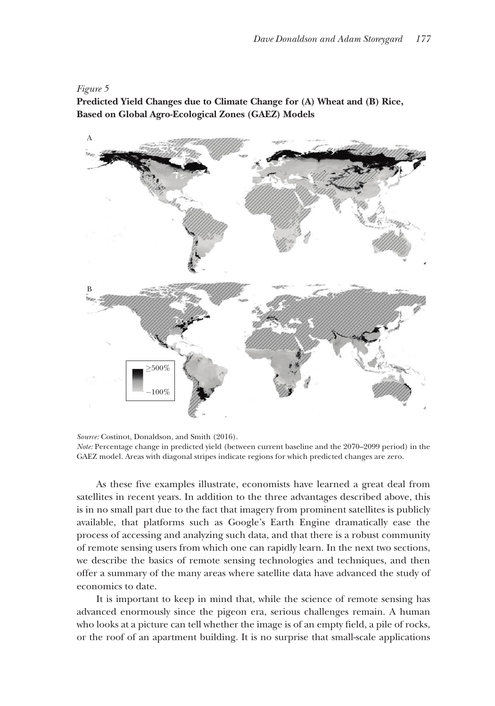## <span id="page-6-0"></span>*Figure 5*

**Predicted Yield Changes due to Climate Change for (A) Wheat and (B) Rice, Based on Global Agro-Ecological Zones (GAEZ) Models** 



*Source:* Costinot, Donaldson, and Smith (2016). *Note:* Percentage change in predicted yield (between current baseline and the 2070–2099 period) in the GAEZ model. Areas with diagonal stripes indicate regions for which predicted changes are zero.

As these five examples illustrate, economists have learned a great deal from satellites in recent years. In addition to the three advantages described above, this is in no small part due to the fact that imagery from prominent satellites is publicly available, that platforms such as Google's Earth Engine dramatically ease the process of accessing and analyzing such data, and that there is a robust community of remote sensing users from which one can rapidly learn. In the next two sections, we describe the basics of remote sensing technologies and techniques, and then offer a summary of the many areas where satellite data have advanced the study of economics to date.

It is important to keep in mind that, while the science of remote sensing has advanced enormously since the pigeon era, serious challenges remain. A human who looks at a picture can tell whether the image is of an empty field, a pile of rocks, or the roof of an apartment building. It is no surprise that small-scale applications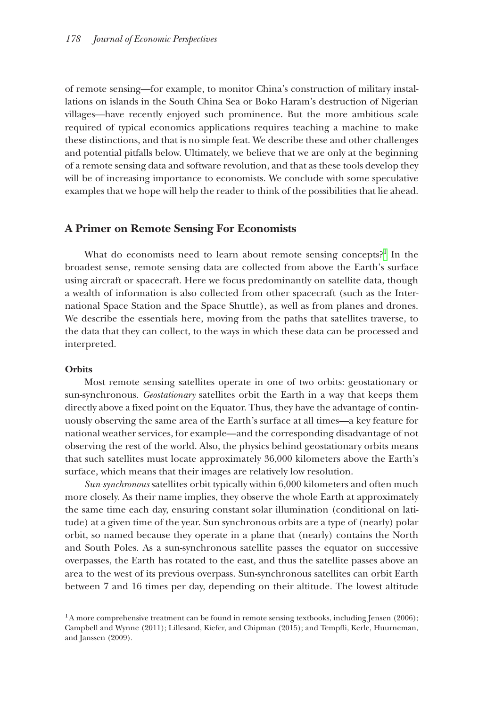of remote sensing—for example, to monitor China's construction of military installations on islands in the South China Sea or Boko Haram's destruction of Nigerian villages—have recently enjoyed such prominence. But the more ambitious scale required of typical economics applications requires teaching a machine to make these distinctions, and that is no simple feat. We describe these and other challenges and potential pitfalls below. Ultimately, we believe that we are only at the beginning of a remote sensing data and software revolution, and that as these tools develop they will be of increasing importance to economists. We conclude with some speculative examples that we hope will help the reader to think of the possibilities that lie ahead.

## **A Primer on Remote Sensing For Economists**

What do economists need to learn about remote sensing concepts?<sup>[1](#page-7-0)</sup> In the broadest sense, remote sensing data are collected from above the Earth's surface using aircraft or spacecraft. Here we focus predominantly on satellite data, though a wealth of information is also collected from other spacecraft (such as the International Space Station and the Space Shuttle), as well as from planes and drones. We describe the essentials here, moving from the paths that satellites traverse, to the data that they can collect, to the ways in which these data can be processed and interpreted.

## **Orbits**

Most remote sensing satellites operate in one of two orbits: geostationary or sun-synchronous. *Geostationary* satellites orbit the Earth in a way that keeps them directly above a fixed point on the Equator. Thus, they have the advantage of continuously observing the same area of the Earth's surface at all times—a key feature for national weather services, for example—and the corresponding disadvantage of not observing the rest of the world. Also, the physics behind geostationary orbits means that such satellites must locate approximately 36,000 kilometers above the Earth's surface, which means that their images are relatively low resolution.

*Sun-synchronous* satellites orbit typically within 6,000 kilometers and often much more closely. As their name implies, they observe the whole Earth at approximately the same time each day, ensuring constant solar illumination (conditional on latitude) at a given time of the year. Sun synchronous orbits are a type of (nearly) polar orbit, so named because they operate in a plane that (nearly) contains the North and South Poles. As a sun-synchronous satellite passes the equator on successive overpasses, the Earth has rotated to the east, and thus the satellite passes above an area to the west of its previous overpass. Sun-synchronous satellites can orbit Earth between 7 and 16 times per day, depending on their altitude. The lowest altitude

<span id="page-7-0"></span> $1<sup>1</sup>$ A more comprehensive treatment can be found in remote sensing textbooks, including Jensen (2006); Campbell and Wynne (2011); Lillesand, Kiefer, and Chipman (2015); and Tempfli, Kerle, Huurneman, and Janssen (2009).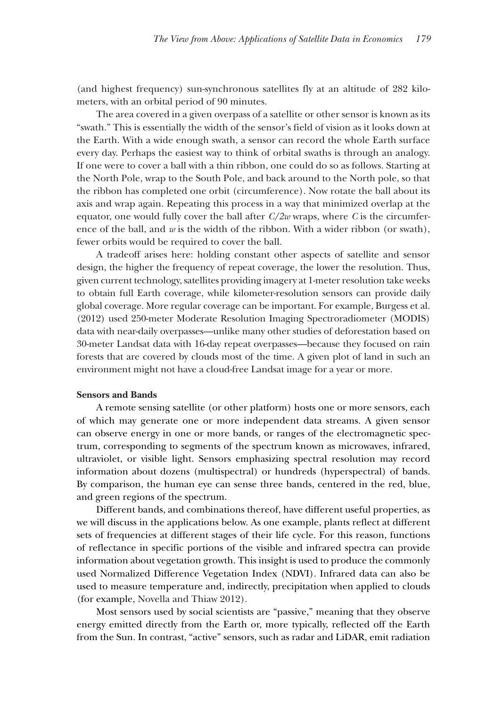(and highest frequency) sun-synchronous satellites fly at an altitude of 282 kilometers, with an orbital period of 90 minutes.

The area covered in a given overpass of a satellite or other sensor is known as its "swath." This is essentially the width of the sensor's field of vision as it looks down at the Earth. With a wide enough swath, a sensor can record the whole Earth surface every day. Perhaps the easiest way to think of orbital swaths is through an analogy. If one were to cover a ball with a thin ribbon, one could do so as follows. Starting at the North Pole, wrap to the South Pole, and back around to the North pole, so that the ribbon has completed one orbit (circumference). Now rotate the ball about its axis and wrap again. Repeating this process in a way that minimized overlap at the equator, one would fully cover the ball after *C/2w* wraps, where *C* is the circumference of the ball, and *w* is the width of the ribbon. With a wider ribbon (or swath), fewer orbits would be required to cover the ball.

A tradeoff arises here: holding constant other aspects of satellite and sensor design, the higher the frequency of repeat coverage, the lower the resolution. Thus, given current technology, satellites providing imagery at 1-meter resolution take weeks to obtain full Earth coverage, while kilometer-resolution sensors can provide daily global coverage. More regular coverage can be important. For example, Burgess et al. (2012) used 250-meter Moderate Resolution Imaging Spectroradiometer (MODIS) data with near-daily overpasses—unlike many other studies of deforestation based on 30-meter Landsat data with 16-day repeat overpasses—because they focused on rain forests that are covered by clouds most of the time. A given plot of land in such an environment might not have a cloud-free Landsat image for a year or more.

## **Sensors and Bands**

A remote sensing satellite (or other platform) hosts one or more sensors, each of which may generate one or more independent data streams. A given sensor can observe energy in one or more bands, or ranges of the electromagnetic spectrum, corresponding to segments of the spectrum known as microwaves, infrared, ultraviolet, or visible light. Sensors emphasizing spectral resolution may record information about dozens (multispectral) or hundreds (hyperspectral) of bands. By comparison, the human eye can sense three bands, centered in the red, blue, and green regions of the spectrum.

Different bands, and combinations thereof, have different useful properties, as we will discuss in the applications below. As one example, plants reflect at different sets of frequencies at different stages of their life cycle. For this reason, functions of reflectance in specific portions of the visible and infrared spectra can provide information about vegetation growth. This insight is used to produce the commonly used Normalized Difference Vegetation Index (NDVI). Infrared data can also be used to measure temperature and, indirectly, precipitation when applied to clouds (for example, Novella and Thiaw 2012).

Most sensors used by social scientists are "passive," meaning that they observe energy emitted directly from the Earth or, more typically, reflected off the Earth from the Sun. In contrast, "active" sensors, such as radar and LiDAR, emit radiation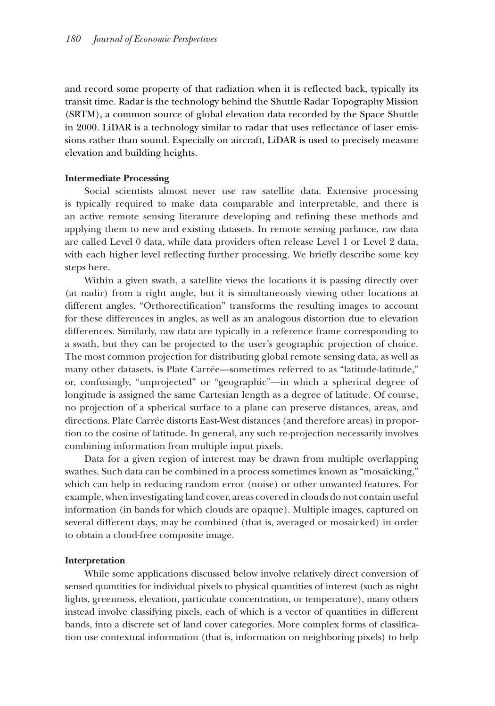and record some property of that radiation when it is reflected back, typically its transit time. Radar is the technology behind the Shuttle Radar Topography Mission (SRTM), a common source of global elevation data recorded by the Space Shuttle in 2000. LiDAR is a technology similar to radar that uses reflectance of laser emissions rather than sound. Especially on aircraft, LiDAR is used to precisely measure elevation and building heights.

## **Intermediate Processing**

Social scientists almost never use raw satellite data. Extensive processing is typically required to make data comparable and interpretable, and there is an active remote sensing literature developing and refining these methods and applying them to new and existing datasets. In remote sensing parlance, raw data are called Level 0 data, while data providers often release Level 1 or Level 2 data, with each higher level reflecting further processing. We briefly describe some key steps here.

Within a given swath, a satellite views the locations it is passing directly over (at nadir) from a right angle, but it is simultaneously viewing other locations at different angles. "Orthorectification" transforms the resulting images to account for these differences in angles, as well as an analogous distortion due to elevation differences. Similarly, raw data are typically in a reference frame corresponding to a swath, but they can be projected to the user's geographic projection of choice. The most common projection for distributing global remote sensing data, as well as many other datasets, is Plate Carrée—sometimes referred to as "latitude-latitude," or, confusingly, "unprojected" or "geographic"—in which a spherical degree of longitude is assigned the same Cartesian length as a degree of latitude. Of course, no projection of a spherical surface to a plane can preserve distances, areas, and directions. Plate Carrée distorts East-West distances (and therefore areas) in proportion to the cosine of latitude. In general, any such re-projection necessarily involves combining information from multiple input pixels.

Data for a given region of interest may be drawn from multiple overlapping swathes. Such data can be combined in a process sometimes known as "mosaicking," which can help in reducing random error (noise) or other unwanted features. For example, when investigating land cover, areas covered in clouds do not contain useful information (in bands for which clouds are opaque). Multiple images, captured on several different days, may be combined (that is, averaged or mosaicked) in order to obtain a cloud-free composite image.

## **Interpretation**

While some applications discussed below involve relatively direct conversion of sensed quantities for individual pixels to physical quantities of interest (such as night lights, greenness, elevation, particulate concentration, or temperature), many others instead involve classifying pixels, each of which is a vector of quantities in different bands, into a discrete set of land cover categories. More complex forms of classification use contextual information (that is, information on neighboring pixels) to help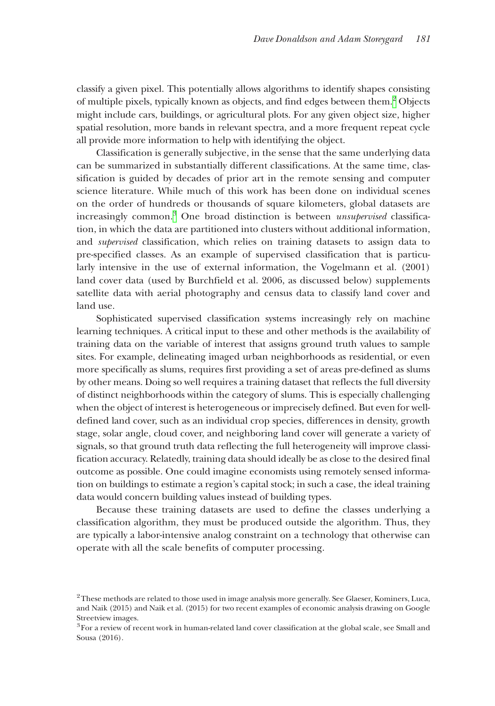classify a given pixel. This potentially allows algorithms to identify shapes consisting of multiple pixels, typically known as objects, and find edges between them.<sup>[2](#page-10-0)</sup> Objects might include cars, buildings, or agricultural plots. For any given object size, higher spatial resolution, more bands in relevant spectra, and a more frequent repeat cycle all provide more information to help with identifying the object.

Classification is generally subjective, in the sense that the same underlying data can be summarized in substantially different classifications. At the same time, classification is guided by decades of prior art in the remote sensing and computer science literature. While much of this work has been done on individual scenes on the order of hundreds or thousands of square kilometers, global datasets are increasingly common.[3](#page-10-1) One broad distinction is between *unsupervised* classification, in which the data are partitioned into clusters without additional information, and *supervised* classification, which relies on training datasets to assign data to pre-specified classes. As an example of supervised classification that is particularly intensive in the use of external information, the Vogelmann et al. (2001) land cover data (used by Burchfield et al. 2006, as discussed below) supplements satellite data with aerial photography and census data to classify land cover and land use.

Sophisticated supervised classification systems increasingly rely on machine learning techniques. A critical input to these and other methods is the availability of training data on the variable of interest that assigns ground truth values to sample sites. For example, delineating imaged urban neighborhoods as residential, or even more specifically as slums, requires first providing a set of areas pre-defined as slums by other means. Doing so well requires a training dataset that reflects the full diversity of distinct neighborhoods within the category of slums. This is especially challenging when the object of interest is heterogeneous or imprecisely defined. But even for welldefined land cover, such as an individual crop species, differences in density, growth stage, solar angle, cloud cover, and neighboring land cover will generate a variety of signals, so that ground truth data reflecting the full heterogeneity will improve classification accuracy. Relatedly, training data should ideally be as close to the desired final outcome as possible. One could imagine economists using remotely sensed information on buildings to estimate a region's capital stock; in such a case, the ideal training data would concern building values instead of building types.

Because these training datasets are used to define the classes underlying a classification algorithm, they must be produced outside the algorithm. Thus, they are typically a labor-intensive analog constraint on a technology that otherwise can operate with all the scale benefits of computer processing.

<span id="page-10-0"></span><sup>&</sup>lt;sup>2</sup>These methods are related to those used in image analysis more generally. See Glaeser, Kominers, Luca, and Naik (2015) and Naik et al. (2015) for two recent examples of economic analysis drawing on Google Streetview images.

<span id="page-10-1"></span><sup>&</sup>lt;sup>3</sup>For a review of recent work in human-related land cover classification at the global scale, see Small and Sousa (2016).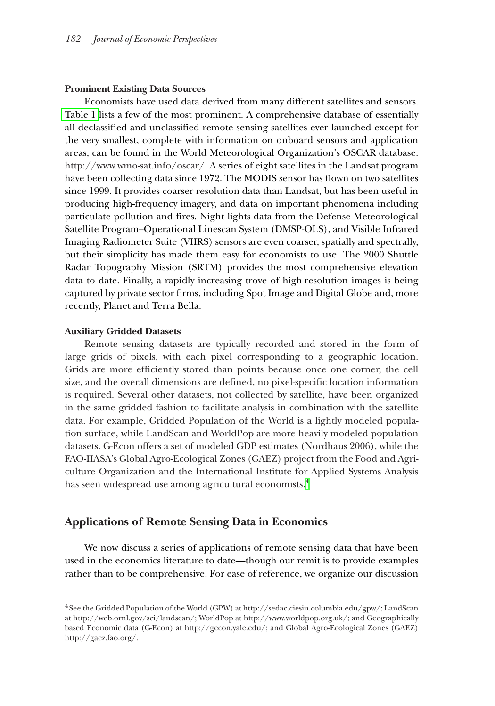#### **Prominent Existing Data Sources**

Economists have used data derived from many different satellites and sensors. [Table](#page-12-0) 1 lists a few of the most prominent. A comprehensive database of essentially all declassified and unclassified remote sensing satellites ever launched except for the very smallest, complete with information on onboard sensors and application areas, can be found in the World Meteorological Organization's OSCAR database: [http://www.wmo-sat.info/oscar/.](http://www.wmo-sat.info/oscar/) A series of eight satellites in the Landsat program have been collecting data since 1972. The MODIS sensor has flown on two satellites since 1999. It provides coarser resolution data than Landsat, but has been useful in producing high-frequency imagery, and data on important phenomena including particulate pollution and fires. Night lights data from the Defense Meteorological Satellite Program–Operational Linescan System (DMSP-OLS), and Visible Infrared Imaging Radiometer Suite (VIIRS) sensors are even coarser, spatially and spectrally, but their simplicity has made them easy for economists to use. The 2000 Shuttle Radar Topography Mission (SRTM) provides the most comprehensive elevation data to date. Finally, a rapidly increasing trove of high-resolution images is being captured by private sector firms, including Spot Image and Digital Globe and, more recently, Planet and Terra Bella.

#### **Auxiliary Gridded Datasets**

Remote sensing datasets are typically recorded and stored in the form of large grids of pixels, with each pixel corresponding to a geographic location. Grids are more efficiently stored than points because once one corner, the cell size, and the overall dimensions are defined, no pixel-specific location information is required. Several other datasets, not collected by satellite, have been organized in the same gridded fashion to facilitate analysis in combination with the satellite data. For example, Gridded Population of the World is a lightly modeled population surface, while LandScan and WorldPop are more heavily modeled population datasets. G-Econ offers a set of modeled GDP estimates (Nordhaus 2006), while the FAO-IIASA's Global Agro-Ecological Zones (GAEZ) project from the Food and Agriculture Organization and the International Institute for Applied Systems Analysis has seen widespread use among agricultural economists.<sup>[4](#page-11-0)</sup>

## **Applications of Remote Sensing Data in Economics**

We now discuss a series of applications of remote sensing data that have been used in the economics literature to date—though our remit is to provide examples rather than to be comprehensive. For ease of reference, we organize our discussion

<span id="page-11-0"></span><sup>4</sup>See the Gridded Population of the World (GPW) at [http://sedac.ciesin.columbia.edu/gpw/;](http://sedac.ciesin.columbia.edu/gpw/) LandScan at<http://web.ornl.gov/sci/landscan/>; WorldPop at [http://www.worldpop.org.uk/;](http://www.worldpop.org.uk/) and Geographically based Economic data (G-Econ) at [http://gecon.yale.edu/;](http://gecon.yale.edu/) and Global Agro-Ecological Zones (GAEZ) [http://gaez.fao.org/.](http://gaez.fao.org/)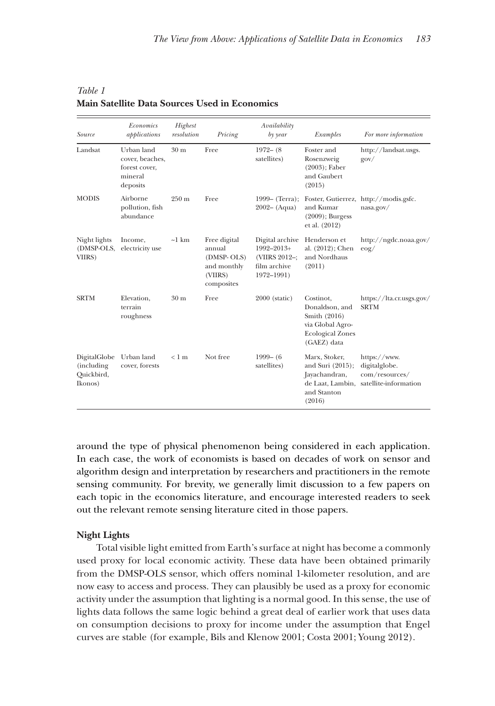| Source                                              | Economics<br>applications                                             | Highest<br>resolution | Pricing                                                                      | Availability<br>by year                                                           | Examples                                                                                                  | For more information                                                                      |
|-----------------------------------------------------|-----------------------------------------------------------------------|-----------------------|------------------------------------------------------------------------------|-----------------------------------------------------------------------------------|-----------------------------------------------------------------------------------------------------------|-------------------------------------------------------------------------------------------|
| Landsat                                             | Urban land<br>cover, beaches,<br>forest cover,<br>mineral<br>deposits | 30 <sub>m</sub>       | Free                                                                         | $1972 - (8)$<br>satellites)                                                       | Foster and<br>Rosenzweig<br>$(2003)$ ; Faber<br>and Gaubert<br>(2015)                                     | http://landsat.usgs.<br>gov/                                                              |
| <b>MODIS</b>                                        | Airborne<br>pollution, fish<br>abundance                              | $250 \text{ m}$       | Free                                                                         | 1999– $(Terra)$ ;<br>2002- (Aqua)                                                 | and Kumar<br>$(2009)$ ; Burgess<br>et al. (2012)                                                          | Foster, Gutierrez, http://modis.gsfc.<br>nasa.gov/                                        |
| Night lights<br>VIIRS)                              | Income,<br>(DMSP-OLS, electricity use                                 | $\sim$ 1 km           | Free digital<br>annual<br>(DMSP-OLS)<br>and monthly<br>(VIIRS)<br>composites | Digital archive<br>$1992 - 2013 +$<br>(VIIRS 2012-;<br>film archive<br>1972-1991) | Henderson et<br>al. (2012); Chen<br>and Nordhaus<br>(2011)                                                | http://ngdc.noaa.gov/<br>eog/                                                             |
| <b>SRTM</b>                                         | Elevation,<br>terrain<br>roughness                                    | 30 <sub>m</sub>       | Free                                                                         | $2000$ (static)                                                                   | Costinot,<br>Donaldson, and<br>Smith (2016)<br>via Global Agro-<br><b>Ecological Zones</b><br>(GAEZ) data | https://lta.cr.usgs.gov/<br><b>SRTM</b>                                                   |
| DigitalGlobe<br>(including<br>Quickbird,<br>Ikonos) | Urban land<br>cover, forests                                          | $< 1 \text{ m}$       | Not free                                                                     | $1999 - (6$<br>satellites)                                                        | Marx, Stoker,<br>and Suri (2015);<br>Jayachandran,<br>and Stanton<br>(2016)                               | https://www.<br>digitalglobe.<br>com/resources/<br>de Laat, Lambin, satellite-information |

## <span id="page-12-0"></span>*Table 1* **Main Satellite Data Sources Used in Economics**

around the type of physical phenomenon being considered in each application. In each case, the work of economists is based on decades of work on sensor and algorithm design and interpretation by researchers and practitioners in the remote sensing community. For brevity, we generally limit discussion to a few papers on each topic in the economics literature, and encourage interested readers to seek out the relevant remote sensing literature cited in those papers.

## **Night Lights**

Total visible light emitted from Earth's surface at night has become a commonly used proxy for local economic activity. These data have been obtained primarily from the DMSP-OLS sensor, which offers nominal 1-kilometer resolution, and are now easy to access and process. They can plausibly be used as a proxy for economic activity under the assumption that lighting is a normal good. In this sense, the use of lights data follows the same logic behind a great deal of earlier work that uses data on consumption decisions to proxy for income under the assumption that Engel curves are stable (for example, Bils and Klenow 2001; Costa 2001; Young 2012).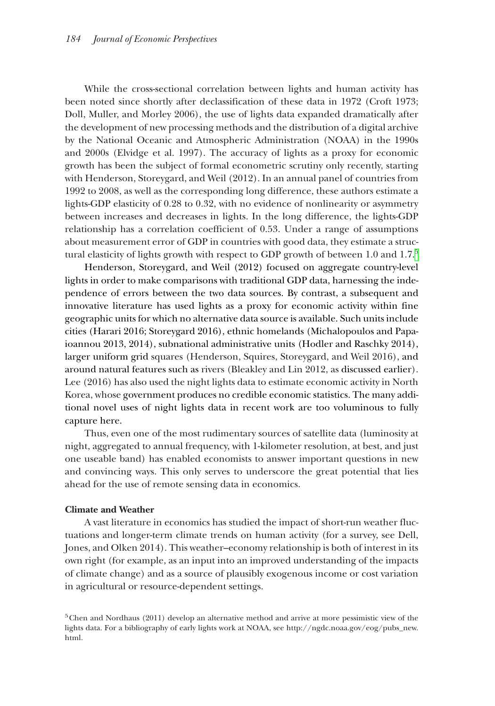While the cross-sectional correlation between lights and human activity has been noted since shortly after declassification of these data in 1972 (Croft 1973; Doll, Muller, and Morley 2006), the use of lights data expanded dramatically after the development of new processing methods and the distribution of a digital archive by the National Oceanic and Atmospheric Administration (NOAA) in the 1990s and 2000s (Elvidge et al. 1997). The accuracy of lights as a proxy for economic growth has been the subject of formal econometric scrutiny only recently, starting with Henderson, Storeygard, and Weil (2012). In an annual panel of countries from 1992 to 2008, as well as the corresponding long difference, these authors estimate a lights-GDP elasticity of 0.28 to 0.32, with no evidence of nonlinearity or asymmetry between increases and decreases in lights. In the long difference, the lights-GDP relationship has a correlation coefficient of 0.53. Under a range of assumptions about measurement error of GDP in countries with good data, they estimate a structural elasticity of lights growth with respect to GDP growth of between 1.0 and 1.7.<sup>5</sup>

Henderson, Storeygard, and Weil (2012) focused on aggregate country-level lights in order to make comparisons with traditional GDP data, harnessing the independence of errors between the two data sources. By contrast, a subsequent and innovative literature has used lights as a proxy for economic activity within fine geographic units for which no alternative data source is available. Such units include cities (Harari 2016; Storeygard 2016), ethnic homelands (Michalopoulos and Papaioannou 2013, 2014), subnational administrative units (Hodler and Raschky 2014), larger uniform grid squares (Henderson, Squires, Storeygard, and Weil 2016), and around natural features such as rivers (Bleakley and Lin 2012, as discussed earlier). Lee (2016) has also used the night lights data to estimate economic activity in North Korea, whose government produces no credible economic statistics. The many additional novel uses of night lights data in recent work are too voluminous to fully capture here.

Thus, even one of the most rudimentary sources of satellite data (luminosity at night, aggregated to annual frequency, with 1-kilometer resolution, at best, and just one useable band) has enabled economists to answer important questions in new and convincing ways. This only serves to underscore the great potential that lies ahead for the use of remote sensing data in economics.

## **Climate and Weather**

A vast literature in economics has studied the impact of short-run weather fluctuations and longer-term climate trends on human activity (for a survey, see Dell, Jones, and Olken 2014). This weather–economy relationship is both of interest in its own right (for example, as an input into an improved understanding of the impacts of climate change) and as a source of plausibly exogenous income or cost variation in agricultural or resource-dependent settings.

<span id="page-13-0"></span> $5$ Chen and Nordhaus (2011) develop an alternative method and arrive at more pessimistic view of the [lights data. For a bibliography of early lights work at NOAA, see http://ngdc.noaa.gov/eog/pubs\\_new.](http://ngdc.noaa.gov/eog/pubs_new.html) html.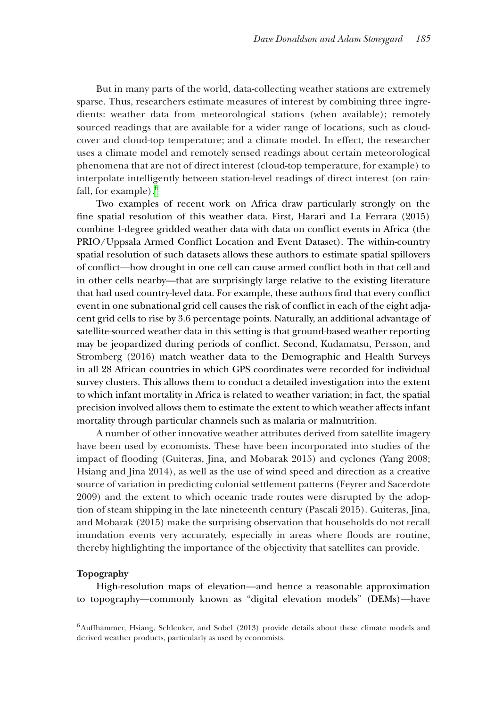But in many parts of the world, data-collecting weather stations are extremely sparse. Thus, researchers estimate measures of interest by combining three ingredients: weather data from meteorological stations (when available); remotely sourced readings that are available for a wider range of locations, such as cloudcover and cloud-top temperature; and a climate model. In effect, the researcher uses a climate model and remotely sensed readings about certain meteorological phenomena that are not of direct interest (cloud-top temperature, for example) to interpolate intelligently between station-level readings of direct interest (on rainfall, for example). $6$ 

Two examples of recent work on Africa draw particularly strongly on the fine spatial resolution of this weather data. First, Harari and La Ferrara (2015) combine 1-degree gridded weather data with data on conflict events in Africa (the PRIO/Uppsala Armed Conflict Location and Event Dataset). The within-country spatial resolution of such datasets allows these authors to estimate spatial spillovers of conflict—how drought in one cell can cause armed conflict both in that cell and in other cells nearby—that are surprisingly large relative to the existing literature that had used country-level data. For example, these authors find that every conflict event in one subnational grid cell causes the risk of conflict in each of the eight adjacent grid cells to rise by 3.6 percentage points. Naturally, an additional advantage of satellite-sourced weather data in this setting is that ground-based weather reporting may be jeopardized during periods of conflict. Second, Kudamatsu, Persson, and Stromberg (2016) match weather data to the Demographic and Health Surveys in all 28 African countries in which GPS coordinates were recorded for individual survey clusters. This allows them to conduct a detailed investigation into the extent to which infant mortality in Africa is related to weather variation; in fact, the spatial precision involved allows them to estimate the extent to which weather affects infant mortality through particular channels such as malaria or malnutrition.

A number of other innovative weather attributes derived from satellite imagery have been used by economists. These have been incorporated into studies of the impact of flooding (Guiteras, Jina, and Mobarak 2015) and cyclones (Yang 2008; Hsiang and Jina 2014), as well as the use of wind speed and direction as a creative source of variation in predicting colonial settlement patterns (Feyrer and Sacerdote 2009) and the extent to which oceanic trade routes were disrupted by the adoption of steam shipping in the late nineteenth century (Pascali 2015). Guiteras, Jina, and Mobarak (2015) make the surprising observation that households do not recall inundation events very accurately, especially in areas where floods are routine, thereby highlighting the importance of the objectivity that satellites can provide.

## **Topography**

High-resolution maps of elevation—and hence a reasonable approximation to topography—commonly known as "digital elevation models" (DEMs)—have

<span id="page-14-0"></span><sup>6</sup>Auffhammer, Hsiang, Schlenker, and Sobel (2013) provide details about these climate models and derived weather products, particularly as used by economists.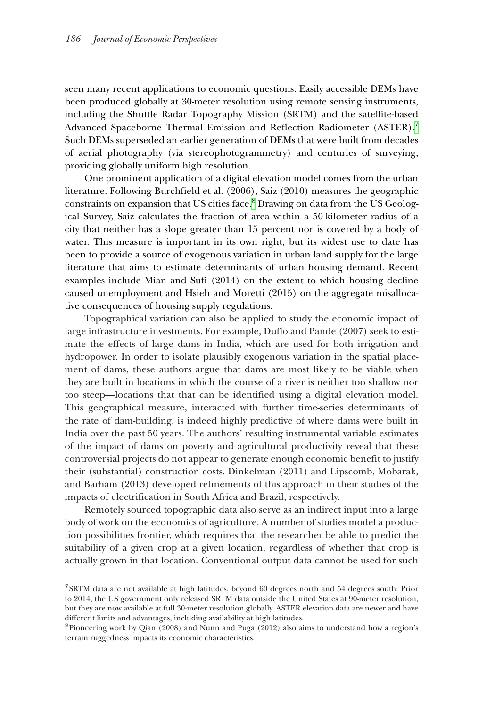seen many recent applications to economic questions. Easily accessible DEMs have been produced globally at 30-meter resolution using remote sensing instruments, including the Shuttle Radar Topography Mission (SRTM) and the satellite-based Advanced Spaceborne Thermal Emission and Reflection Radiometer (ASTER).<sup>[7](#page-15-0)</sup> Such DEMs superseded an earlier generation of DEMs that were built from decades of aerial photography (via stereophotogrammetry) and centuries of surveying, providing globally uniform high resolution.

One prominent application of a digital elevation model comes from the urban literature. Following Burchfield et al. (2006), Saiz (2010) measures the geographic constraints on expansion that US cities face.<sup>8</sup> Drawing on data from the US Geological Survey, Saiz calculates the fraction of area within a 50-kilometer radius of a city that neither has a slope greater than 15 percent nor is covered by a body of water. This measure is important in its own right, but its widest use to date has been to provide a source of exogenous variation in urban land supply for the large literature that aims to estimate determinants of urban housing demand. Recent examples include Mian and Sufi (2014) on the extent to which housing decline caused unemployment and Hsieh and Moretti (2015) on the aggregate misallocative consequences of housing supply regulations.

Topographical variation can also be applied to study the economic impact of large infrastructure investments. For example, Duflo and Pande (2007) seek to estimate the effects of large dams in India, which are used for both irrigation and hydropower. In order to isolate plausibly exogenous variation in the spatial placement of dams, these authors argue that dams are most likely to be viable when they are built in locations in which the course of a river is neither too shallow nor too steep—locations that that can be identified using a digital elevation model. This geographical measure, interacted with further time-series determinants of the rate of dam-building, is indeed highly predictive of where dams were built in India over the past 50 years. The authors' resulting instrumental variable estimates of the impact of dams on poverty and agricultural productivity reveal that these controversial projects do not appear to generate enough economic benefit to justify their (substantial) construction costs. Dinkelman (2011) and Lipscomb, Mobarak, and Barham (2013) developed refinements of this approach in their studies of the impacts of electrification in South Africa and Brazil, respectively.

Remotely sourced topographic data also serve as an indirect input into a large body of work on the economics of agriculture. A number of studies model a production possibilities frontier, which requires that the researcher be able to predict the suitability of a given crop at a given location, regardless of whether that crop is actually grown in that location. Conventional output data cannot be used for such

<span id="page-15-0"></span><sup>7</sup>SRTM data are not available at high latitudes, beyond 60 degrees north and 54 degrees south. Prior to 2014, the US government only released SRTM data outside the United States at 90-meter resolution, but they are now available at full 30-meter resolution globally. ASTER elevation data are newer and have different limits and advantages, including availability at high latitudes.

<span id="page-15-1"></span> ${}^8$ Pioneering work by Qian (2008) and Nunn and Puga (2012) also aims to understand how a region's terrain ruggedness impacts its economic characteristics.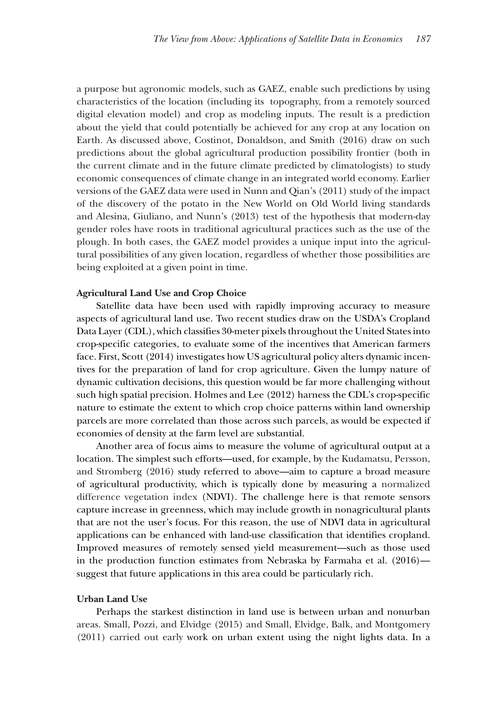a purpose but agronomic models, such as GAEZ, enable such predictions by using characteristics of the location (including its topography, from a remotely sourced digital elevation model) and crop as modeling inputs. The result is a prediction about the yield that could potentially be achieved for any crop at any location on Earth. As discussed above, Costinot, Donaldson, and Smith (2016) draw on such predictions about the global agricultural production possibility frontier (both in the current climate and in the future climate predicted by climatologists) to study economic consequences of climate change in an integrated world economy. Earlier versions of the GAEZ data were used in Nunn and Qian's (2011) study of the impact of the discovery of the potato in the New World on Old World living standards and Alesina, Giuliano, and Nunn's (2013) test of the hypothesis that modern-day gender roles have roots in traditional agricultural practices such as the use of the plough. In both cases, the GAEZ model provides a unique input into the agricultural possibilities of any given location, regardless of whether those possibilities are being exploited at a given point in time.

## **Agricultural Land Use and Crop Choice**

Satellite data have been used with rapidly improving accuracy to measure aspects of agricultural land use. Two recent studies draw on the USDA's Cropland Data Layer (CDL), which classifies 30-meter pixels throughout the United States into crop-specific categories, to evaluate some of the incentives that American farmers face. First, Scott (2014) investigates how US agricultural policy alters dynamic incentives for the preparation of land for crop agriculture. Given the lumpy nature of dynamic cultivation decisions, this question would be far more challenging without such high spatial precision. Holmes and Lee (2012) harness the CDL's crop-specific nature to estimate the extent to which crop choice patterns within land ownership parcels are more correlated than those across such parcels, as would be expected if economies of density at the farm level are substantial.

Another area of focus aims to measure the volume of agricultural output at a location. The simplest such efforts—used, for example, by the Kudamatsu, Persson, and Stromberg (2016) study referred to above—aim to capture a broad measure of agricultural productivity, which is typically done by measuring a normalized difference vegetation index (NDVI). The challenge here is that remote sensors capture increase in greenness, which may include growth in nonagricultural plants that are not the user's focus. For this reason, the use of NDVI data in agricultural applications can be enhanced with land-use classification that identifies cropland. Improved measures of remotely sensed yield measurement—such as those used in the production function estimates from Nebraska by Farmaha et al. (2016) suggest that future applications in this area could be particularly rich.

## **Urban Land Use**

Perhaps the starkest distinction in land use is between urban and nonurban areas. Small, Pozzi, and Elvidge (2015) and Small, Elvidge, Balk, and Montgomery (2011) carried out early work on urban extent using the night lights data. In a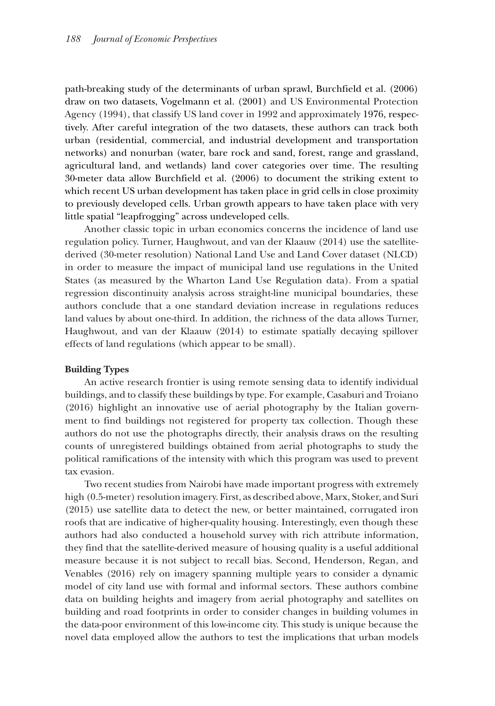path-breaking study of the determinants of urban sprawl, Burchfield et al. (2006) draw on two datasets, Vogelmann et al. (2001) and US Environmental Protection Agency (1994), that classify US land cover in 1992 and approximately 1976, respectively. After careful integration of the two datasets, these authors can track both urban (residential, commercial, and industrial development and transportation networks) and nonurban (water, bare rock and sand, forest, range and grassland, agricultural land, and wetlands) land cover categories over time. The resulting 30-meter data allow Burchfield et al. (2006) to document the striking extent to which recent US urban development has taken place in grid cells in close proximity to previously developed cells. Urban growth appears to have taken place with very little spatial "leapfrogging" across undeveloped cells.

Another classic topic in urban economics concerns the incidence of land use regulation policy. Turner, Haughwout, and van der Klaauw (2014) use the satellitederived (30-meter resolution) National Land Use and Land Cover dataset (NLCD) in order to measure the impact of municipal land use regulations in the United States (as measured by the Wharton Land Use Regulation data). From a spatial regression discontinuity analysis across straight-line municipal boundaries, these authors conclude that a one standard deviation increase in regulations reduces land values by about one-third. In addition, the richness of the data allows Turner, Haughwout, and van der Klaauw (2014) to estimate spatially decaying spillover effects of land regulations (which appear to be small).

## **Building Types**

An active research frontier is using remote sensing data to identify individual buildings, and to classify these buildings by type. For example, Casaburi and Troiano (2016) highlight an innovative use of aerial photography by the Italian government to find buildings not registered for property tax collection. Though these authors do not use the photographs directly, their analysis draws on the resulting counts of unregistered buildings obtained from aerial photographs to study the political ramifications of the intensity with which this program was used to prevent tax evasion.

Two recent studies from Nairobi have made important progress with extremely high (0.5-meter) resolution imagery. First, as described above, Marx, Stoker, and Suri (2015) use satellite data to detect the new, or better maintained, corrugated iron roofs that are indicative of higher-quality housing. Interestingly, even though these authors had also conducted a household survey with rich attribute information, they find that the satellite-derived measure of housing quality is a useful additional measure because it is not subject to recall bias. Second, Henderson, Regan, and Venables (2016) rely on imagery spanning multiple years to consider a dynamic model of city land use with formal and informal sectors. These authors combine data on building heights and imagery from aerial photography and satellites on building and road footprints in order to consider changes in building volumes in the data-poor environment of this low-income city. This study is unique because the novel data employed allow the authors to test the implications that urban models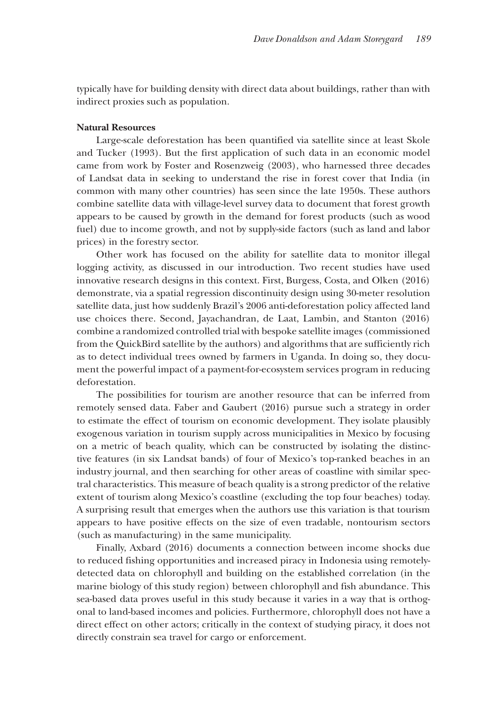typically have for building density with direct data about buildings, rather than with indirect proxies such as population.

## **Natural Resources**

Large-scale deforestation has been quantified via satellite since at least Skole and Tucker (1993). But the first application of such data in an economic model came from work by Foster and Rosenzweig (2003), who harnessed three decades of Landsat data in seeking to understand the rise in forest cover that India (in common with many other countries) has seen since the late 1950s. These authors combine satellite data with village-level survey data to document that forest growth appears to be caused by growth in the demand for forest products (such as wood fuel) due to income growth, and not by supply-side factors (such as land and labor prices) in the forestry sector.

Other work has focused on the ability for satellite data to monitor illegal logging activity, as discussed in our introduction. Two recent studies have used innovative research designs in this context. First, Burgess, Costa, and Olken (2016) demonstrate, via a spatial regression discontinuity design using 30-meter resolution satellite data, just how suddenly Brazil's 2006 anti-deforestation policy affected land use choices there. Second, Jayachandran, de Laat, Lambin, and Stanton (2016) combine a randomized controlled trial with bespoke satellite images (commissioned from the QuickBird satellite by the authors) and algorithms that are sufficiently rich as to detect individual trees owned by farmers in Uganda. In doing so, they document the powerful impact of a payment-for-ecosystem services program in reducing deforestation.

The possibilities for tourism are another resource that can be inferred from remotely sensed data. Faber and Gaubert (2016) pursue such a strategy in order to estimate the effect of tourism on economic development. They isolate plausibly exogenous variation in tourism supply across municipalities in Mexico by focusing on a metric of beach quality, which can be constructed by isolating the distinctive features (in six Landsat bands) of four of Mexico's top-ranked beaches in an industry journal, and then searching for other areas of coastline with similar spectral characteristics. This measure of beach quality is a strong predictor of the relative extent of tourism along Mexico's coastline (excluding the top four beaches) today. A surprising result that emerges when the authors use this variation is that tourism appears to have positive effects on the size of even tradable, nontourism sectors (such as manufacturing) in the same municipality.

Finally, Axbard (2016) documents a connection between income shocks due to reduced fishing opportunities and increased piracy in Indonesia using remotelydetected data on chlorophyll and building on the established correlation (in the marine biology of this study region) between chlorophyll and fish abundance. This sea-based data proves useful in this study because it varies in a way that is orthogonal to land-based incomes and policies. Furthermore, chlorophyll does not have a direct effect on other actors; critically in the context of studying piracy, it does not directly constrain sea travel for cargo or enforcement.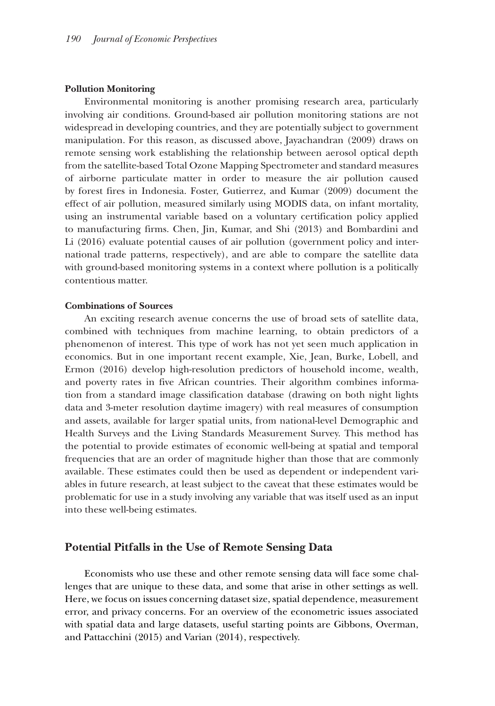#### **Pollution Monitoring**

Environmental monitoring is another promising research area, particularly involving air conditions. Ground-based air pollution monitoring stations are not widespread in developing countries, and they are potentially subject to government manipulation. For this reason, as discussed above, Jayachandran (2009) draws on remote sensing work establishing the relationship between aerosol optical depth from the satellite-based Total Ozone Mapping Spectrometer and standard measures of airborne particulate matter in order to measure the air pollution caused by forest fires in Indonesia. Foster, Gutierrez, and Kumar (2009) document the effect of air pollution, measured similarly using MODIS data, on infant mortality, using an instrumental variable based on a voluntary certification policy applied to manufacturing firms. Chen, Jin, Kumar, and Shi (2013) and Bombardini and Li (2016) evaluate potential causes of air pollution (government policy and international trade patterns, respectively), and are able to compare the satellite data with ground-based monitoring systems in a context where pollution is a politically contentious matter.

## **Combinations of Sources**

An exciting research avenue concerns the use of broad sets of satellite data, combined with techniques from machine learning, to obtain predictors of a phenomenon of interest. This type of work has not yet seen much application in economics. But in one important recent example, Xie, Jean, Burke, Lobell, and Ermon (2016) develop high-resolution predictors of household income, wealth, and poverty rates in five African countries. Their algorithm combines information from a standard image classification database (drawing on both night lights data and 3-meter resolution daytime imagery) with real measures of consumption and assets, available for larger spatial units, from national-level Demographic and Health Surveys and the Living Standards Measurement Survey. This method has the potential to provide estimates of economic well-being at spatial and temporal frequencies that are an order of magnitude higher than those that are commonly available. These estimates could then be used as dependent or independent variables in future research, at least subject to the caveat that these estimates would be problematic for use in a study involving any variable that was itself used as an input into these well-being estimates.

## **Potential Pitfalls in the Use of Remote Sensing Data**

Economists who use these and other remote sensing data will face some challenges that are unique to these data, and some that arise in other settings as well. Here, we focus on issues concerning dataset size, spatial dependence, measurement error, and privacy concerns. For an overview of the econometric issues associated with spatial data and large datasets, useful starting points are Gibbons, Overman, and Pattacchini (2015) and Varian (2014), respectively.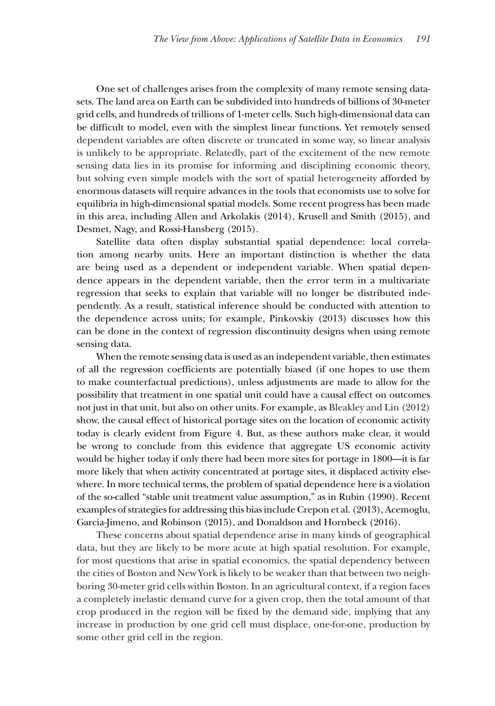One set of challenges arises from the complexity of many remote sensing datasets. The land area on Earth can be subdivided into hundreds of billions of 30-meter grid cells, and hundreds of trillions of 1-meter cells. Such high-dimensional data can be difficult to model, even with the simplest linear functions. Yet remotely sensed dependent variables are often discrete or truncated in some way, so linear analysis is unlikely to be appropriate. Relatedly, part of the excitement of the new remote sensing data lies in its promise for informing and disciplining economic theory, but solving even simple models with the sort of spatial heterogeneity afforded by enormous datasets will require advances in the tools that economists use to solve for equilibria in high-dimensional spatial models. Some recent progress has been made in this area, including Allen and Arkolakis (2014), Krusell and Smith (2015), and Desmet, Nagy, and Rossi-Hansberg (2015).

Satellite data often display substantial spatial dependence: local correlation among nearby units. Here an important distinction is whether the data are being used as a dependent or independent variable. When spatial dependence appears in the dependent variable, then the error term in a multivariate regression that seeks to explain that variable will no longer be distributed independently. As a result, statistical inference should be conducted with attention to the dependence across units; for example, Pinkovskiy (2013) discusses how this can be done in the context of regression discontinuity designs when using remote sensing data.

When the remote sensing data is used as an independent variable, then estimates of all the regression coefficients are potentially biased (if one hopes to use them to make counterfactual predictions), unless adjustments are made to allow for the possibility that treatment in one spatial unit could have a causal effect on outcomes not just in that unit, but also on other units. For example, as Bleakley and Lin (2012) show, the causal effect of historical portage sites on the location of economic activity today is clearly evident from Figure 4. But, as these authors make clear, it would be wrong to conclude from this evidence that aggregate US economic activity would be higher today if only there had been more sites for portage in 1800—it is far more likely that when activity concentrated at portage sites, it displaced activity elsewhere. In more technical terms, the problem of spatial dependence here is a violation of the so-called "stable unit treatment value assumption," as in Rubin (1990). Recent examples of strategies for addressing this bias include Crepon et al. (2013), Acemoglu, Garcia-Jimeno, and Robinson (2015), and Donaldson and Hornbeck (2016).

These concerns about spatial dependence arise in many kinds of geographical data, but they are likely to be more acute at high spatial resolution. For example, for most questions that arise in spatial economics, the spatial dependency between the cities of Boston and New York is likely to be weaker than that between two neighboring 30-meter grid cells within Boston. In an agricultural context, if a region faces a completely inelastic demand curve for a given crop, then the total amount of that crop produced in the region will be fixed by the demand side, implying that any increase in production by one grid cell must displace, one-for-one, production by some other grid cell in the region.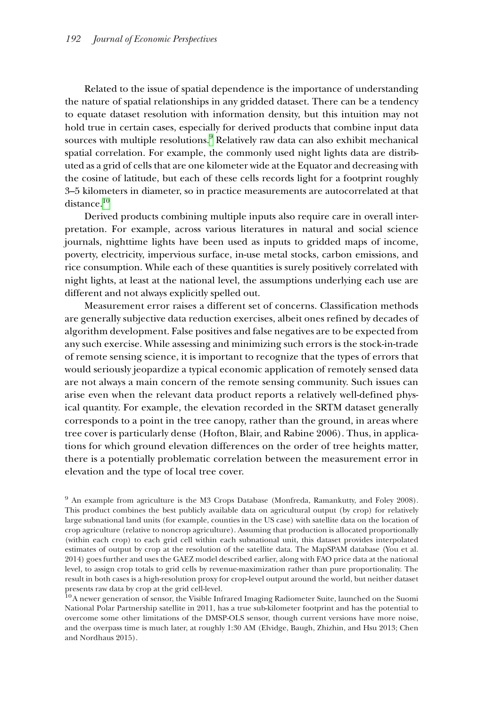Related to the issue of spatial dependence is the importance of understanding the nature of spatial relationships in any gridded dataset. There can be a tendency to equate dataset resolution with information density, but this intuition may not hold true in certain cases, especially for derived products that combine input data sources with multiple resolutions.<sup>9</sup> Relatively raw data can also exhibit mechanical spatial correlation. For example, the commonly used night lights data are distributed as a grid of cells that are one kilometer wide at the Equator and decreasing with the cosine of latitude, but each of these cells records light for a footprint roughly 3–5 kilometers in diameter, so in practice measurements are autocorrelated at that distance.[10](#page-21-1)

Derived products combining multiple inputs also require care in overall interpretation. For example, across various literatures in natural and social science journals, nighttime lights have been used as inputs to gridded maps of income, poverty, electricity, impervious surface, in-use metal stocks, carbon emissions, and rice consumption. While each of these quantities is surely positively correlated with night lights, at least at the national level, the assumptions underlying each use are different and not always explicitly spelled out.

Measurement error raises a different set of concerns. Classification methods are generally subjective data reduction exercises, albeit ones refined by decades of algorithm development. False positives and false negatives are to be expected from any such exercise. While assessing and minimizing such errors is the stock-in-trade of remote sensing science, it is important to recognize that the types of errors that would seriously jeopardize a typical economic application of remotely sensed data are not always a main concern of the remote sensing community. Such issues can arise even when the relevant data product reports a relatively well-defined physical quantity. For example, the elevation recorded in the SRTM dataset generally corresponds to a point in the tree canopy, rather than the ground, in areas where tree cover is particularly dense (Hofton, Blair, and Rabine 2006). Thus, in applications for which ground elevation differences on the order of tree heights matter, there is a potentially problematic correlation between the measurement error in elevation and the type of local tree cover.

<span id="page-21-0"></span><sup>9</sup> An example from agriculture is the M3 Crops Database (Monfreda, Ramankutty, and Foley 2008). This product combines the best publicly available data on agricultural output (by crop) for relatively large subnational land units (for example, counties in the US case) with satellite data on the location of crop agriculture (relative to noncrop agriculture). Assuming that production is allocated proportionally (within each crop) to each grid cell within each subnational unit, this dataset provides interpolated estimates of output by crop at the resolution of the satellite data. The MapSPAM database (You et al. 2014) goes further and uses the GAEZ model described earlier, along with FAO price data at the national level, to assign crop totals to grid cells by revenue-maximization rather than pure proportionality. The result in both cases is a high-resolution proxy for crop-level output around the world, but neither dataset presents raw data by crop at the grid cell-level.<br><sup>10</sup>A newer generation of sensor, the Visible Infrared Imaging Radiometer Suite, launched on the Suomi

<span id="page-21-1"></span>National Polar Partnership satellite in 2011, has a true sub-kilometer footprint and has the potential to overcome some other limitations of the DMSP-OLS sensor, though current versions have more noise, and the overpass time is much later, at roughly 1:30 AM (Elvidge, Baugh, Zhizhin, and Hsu 2013; Chen and Nordhaus 2015).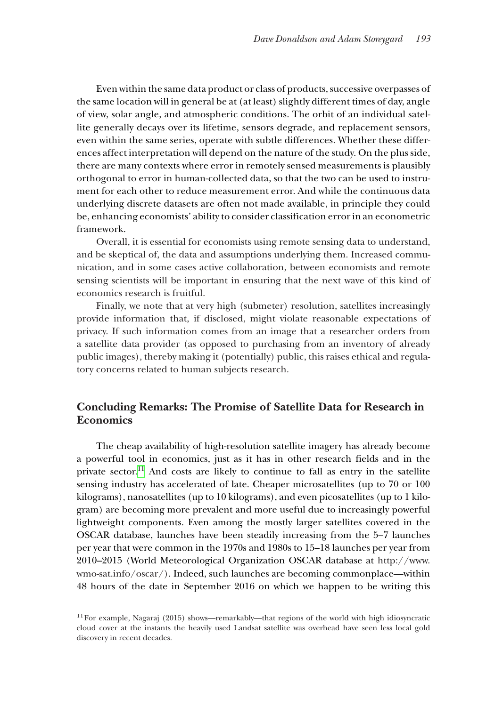Even within the same data product or class of products, successive overpasses of the same location will in general be at (at least) slightly different times of day, angle of view, solar angle, and atmospheric conditions. The orbit of an individual satellite generally decays over its lifetime, sensors degrade, and replacement sensors, even within the same series, operate with subtle differences. Whether these differences affect interpretation will depend on the nature of the study. On the plus side, there are many contexts where error in remotely sensed measurements is plausibly orthogonal to error in human-collected data, so that the two can be used to instrument for each other to reduce measurement error. And while the continuous data underlying discrete datasets are often not made available, in principle they could be, enhancing economists' ability to consider classification error in an econometric framework.

Overall, it is essential for economists using remote sensing data to understand, and be skeptical of, the data and assumptions underlying them. Increased communication, and in some cases active collaboration, between economists and remote sensing scientists will be important in ensuring that the next wave of this kind of economics research is fruitful.

Finally, we note that at very high (submeter) resolution, satellites increasingly provide information that, if disclosed, might violate reasonable expectations of privacy. If such information comes from an image that a researcher orders from a satellite data provider (as opposed to purchasing from an inventory of already public images), thereby making it (potentially) public, this raises ethical and regulatory concerns related to human subjects research.

## **Concluding Remarks: The Promise of Satellite Data for Research in Economics**

The cheap availability of high-resolution satellite imagery has already become a powerful tool in economics, just as it has in other research fields and in the private sector.<sup>[11](#page-22-0)</sup> And costs are likely to continue to fall as entry in the satellite sensing industry has accelerated of late. Cheaper microsatellites (up to 70 or 100 kilograms), nanosatellites (up to 10 kilograms), and even picosatellites (up to 1 kilogram) are becoming more prevalent and more useful due to increasingly powerful lightweight components. Even among the mostly larger satellites covered in the OSCAR database, launches have been steadily increasing from the 5–7 launches per year that were common in the 1970s and 1980s to 15–18 launches per year from 2010–2015 (World Meteorological Organization OSCAR database at [http://www.](http://www.wmo-sat.info/oscar/) [wmo-sat.info/oscar/\)](http://www.wmo-sat.info/oscar/). Indeed, such launches are becoming commonplace—within 48 hours of the date in September 2016 on which we happen to be writing this

<span id="page-22-0"></span> $11$  For example, Nagaraj (2015) shows—remarkably—that regions of the world with high idiosyncratic cloud cover at the instants the heavily used Landsat satellite was overhead have seen less local gold discovery in recent decades.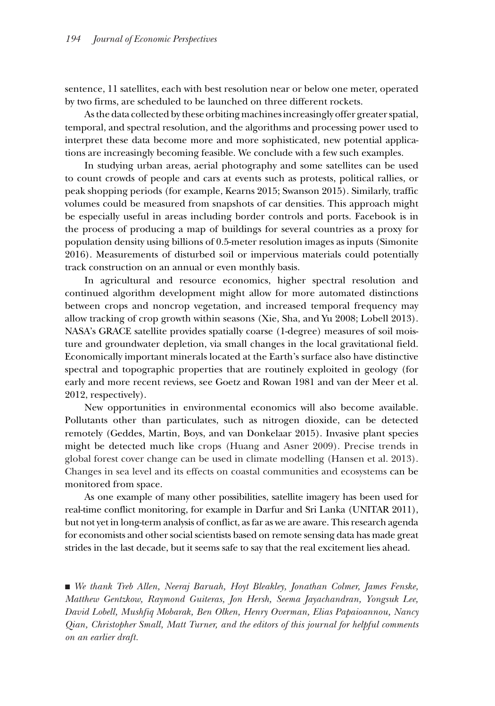sentence, 11 satellites, each with best resolution near or below one meter, operated by two firms, are scheduled to be launched on three different rockets.

As the data collected by these orbiting machines increasingly offer greater spatial, temporal, and spectral resolution, and the algorithms and processing power used to interpret these data become more and more sophisticated, new potential applications are increasingly becoming feasible. We conclude with a few such examples.

In studying urban areas, aerial photography and some satellites can be used to count crowds of people and cars at events such as protests, political rallies, or peak shopping periods (for example, Kearns 2015; Swanson 2015). Similarly, traffic volumes could be measured from snapshots of car densities. This approach might be especially useful in areas including border controls and ports. Facebook is in the process of producing a map of buildings for several countries as a proxy for population density using billions of 0.5-meter resolution images as inputs (Simonite 2016). Measurements of disturbed soil or impervious materials could potentially track construction on an annual or even monthly basis.

In agricultural and resource economics, higher spectral resolution and continued algorithm development might allow for more automated distinctions between crops and noncrop vegetation, and increased temporal frequency may allow tracking of crop growth within seasons (Xie, Sha, and Yu 2008; Lobell 2013). NASA's GRACE satellite provides spatially coarse (1-degree) measures of soil moisture and groundwater depletion, via small changes in the local gravitational field. Economically important minerals located at the Earth's surface also have distinctive spectral and topographic properties that are routinely exploited in geology (for early and more recent reviews, see Goetz and Rowan 1981 and van der Meer et al. 2012, respectively).

New opportunities in environmental economics will also become available. Pollutants other than particulates, such as nitrogen dioxide, can be detected remotely (Geddes, Martin, Boys, and van Donkelaar 2015). Invasive plant species might be detected much like crops (Huang and Asner 2009). Precise trends in global forest cover change can be used in climate modelling (Hansen et al. 2013). Changes in sea level and its effects on coastal communities and ecosystems can be monitored from space.

As one example of many other possibilities, satellite imagery has been used for real-time conflict monitoring, for example in Darfur and Sri Lanka (UNITAR 2011), but not yet in long-term analysis of conflict, as far as we are aware. This research agenda for economists and other social scientists based on remote sensing data has made great strides in the last decade, but it seems safe to say that the real excitement lies ahead.

■ We thank Treb Allen, Neeraj Baruah, Hoyt Bleakley, Jonathan Colmer, James Fenske, *Matthew Gentzkow, Raymond Guiteras, Jon Hersh, Seema Jayachandran, Yongsuk Lee, David Lobell, Mushfiq Mobarak, Ben Olken, Henry Overman, Elias Papaioannou, Nancy Qian, Christopher Small, Matt Turner, and the editors of this journal for helpful comments on an earlier draft.*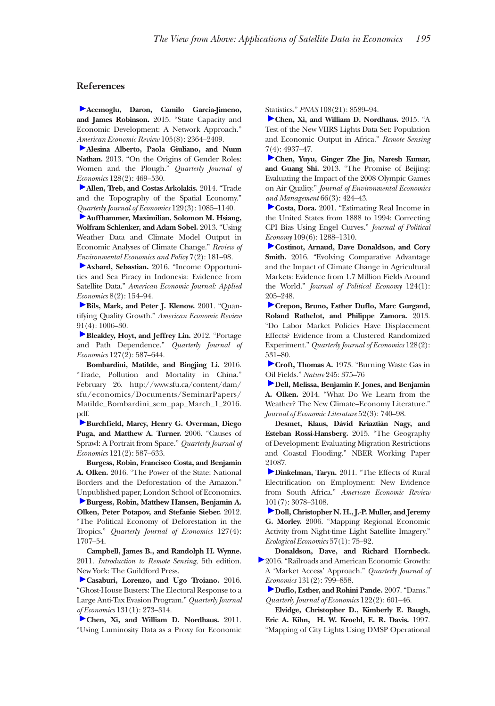## **References**

**Acemoglu, Daron, Camilo Garcia-Jimeno, and James Robinson.** 2015. "State Capacity and Economic Development: A Network Approach." *American Economic Review* 105(8): 2364–2409.

**Alesina Alberto, Paola Giuliano, and Nunn Nathan.** 2013. "On the Origins of Gender Roles: Women and the Plough." *Quarterly Journal of Economics* 128(2): 469–530.

**Allen, Treb, and Costas Arkolakis.** 2014. "Trade and the Topography of the Spatial Economy." *Quarterly Journal of Economics* 129(3): 1085–1140.

**Auffhammer, Maximilian, Solomon M. Hsiang, Wolfram Schlenker, and Adam Sobel.** 2013. "Using Weather Data and Climate Model Output in Economic Analyses of Climate Change." *Review of Environmental Economics and Policy* 7(2): 181–98.

**Axbard, Sebastian.** 2016. "Income Opportunities and Sea Piracy in Indonesia: Evidence from Satellite Data." *American Economic Journal: Applied Economics* 8(2): 154–94.

**Bils, Mark, and Peter J. Klenow.** 2001. "Quantifying Quality Growth." *American Economic Review* 91(4): 1006–30.

**Bleakley, Hoyt, and Jeffrey Lin.** 2012. "Portage and Path Dependence." *Quarterly Journal of Economics* 127(2): 587–644.

**Bombardini, Matilde, and Bingjing Li.** 2016. "Trade, Pollution and Mortality in China." [February 26. http://www.sfu.ca/content/dam/](http://www.sfu.ca/content/dam/sfu/economics/Documents/SeminarPapers/Matilde_Bombardini_sem_pap_March_1_2016.pdf) sfu/economics/Documents/SeminarPapers/ Matilde\_Bombardini\_sem\_pap\_March\_1\_2016. pdf.

**Burchfield, Marcy, Henry G. Overman, Diego Puga, and Matthew A. Turner.** 2006. "Causes of Sprawl: A Portrait from Space." *Quarterly Journal of Economics* 121(2): 587–633.

**Burgess, Robin, Francisco Costa, and Benjamin A. Olken.** 2016. "The Power of the State: National Borders and the Deforestation of the Amazon." Unpublished paper, London School of Economics. **Burgess, Robin, Matthew Hansen, Benjamin A.** 

**Olken, Peter Potapov, and Stefanie Sieber.** 2012. "The Political Economy of Deforestation in the Tropics." *Quarterly Journal of Economics* 127(4): 1707–54.

**Campbell, James B., and Randolph H. Wynne.**  2011. *Introduction to Remote Sensing*, 5th edition. New York: The Guildford Press.

**Casaburi, Lorenzo, and Ugo Troiano.** 2016. "Ghost-House Busters: The Electoral Response to a Large Anti-Tax Evasion Program." *Quarterly Journal of Economics* 131(1): 273–314.

**Chen, Xi, and William D. Nordhaus.** 2011. "Using Luminosity Data as a Proxy for Economic Statistics." *PNAS* 108(21): 8589–94.

**Chen, Xi, and William D. Nordhaus.** 2015. "A Test of the New VIIRS Lights Data Set: Population and Economic Output in Africa." *Remote Sensing* 7(4): 4937–47.

**Chen, Yuyu, Ginger Zhe Jin, Naresh Kumar, and Guang Shi.** 2013. "The Promise of Beijing: Evaluating the Impact of the 2008 Olympic Games on Air Quality." *Journal of Environmental Economics and Management* 66(3): 424–43.

**Costa, Dora.** 2001. "Estimating Real Income in the United States from 1888 to 1994: Correcting CPI Bias Using Engel Curves." *Journal of Political Economy* 109(6): 1288–1310.

**Costinot, Arnaud, Dave Donaldson, and Cory Smith.** 2016. "Evolving Comparative Advantage and the Impact of Climate Change in Agricultural Markets: Evidence from 1.7 Million Fields Around the World." *Journal of Political Economy* 124(1): 205–248.

**Crepon, Bruno, Esther Duflo, Marc Gurgand, Roland Rathelot, and Philippe Zamora.** 2013. "Do Labor Market Policies Have Displacement Effects? Evidence from a Clustered Randomized Experiment." *Quarterly Journal of Economics* 128(2): 531–80.

**Croft, Thomas A.** 1973. "Burning Waste Gas in Oil Fields." *Nature* 245: 375–76

**Dell, Melissa, Benjamin F. Jones, and Benjamin A. Olken.** 2014. "What Do We Learn from the Weather? The New Climate–Economy Literature." *Journal of Economic Literature* 52(3): 740–98.

**Desmet, Klaus, Dávid Kriaztián Nagy, and Esteban Rossi-Hansberg.** 2015. "The Geography of Development: Evaluating Migration Restrictions and Coastal Flooding." NBER Working Paper 21087.

**Dinkelman, Taryn.** 2011. "The Effects of Rural Electrification on Employment: New Evidence from South Africa." *American Economic Review* 101(7): 3078–3108.

**Doll, Christopher N. H., J.-P. Muller, and Jeremy G. Morley.** 2006. "Mapping Regional Economic Activity from Night-time Light Satellite Imagery." *Ecological Economics* 57(1): 75–92.

**Donaldson, Dave, and Richard Hornbeck.**  2016. "Railroads and American Economic Growth: A 'Market Access' Approach." *Quarterly Journal of Economics* 131(2): 799–858.

**Duflo, Esther, and Rohini Pande.** 2007. "Dams." *Quarterly Journal of Economics* 122(2): 601–46.

**Elvidge, Christopher D., Kimberly E. Baugh, Eric A. Kihn, H. W. Kroehl, E. R. Davis.** 1997. "Mapping of City Lights Using DMSP Operational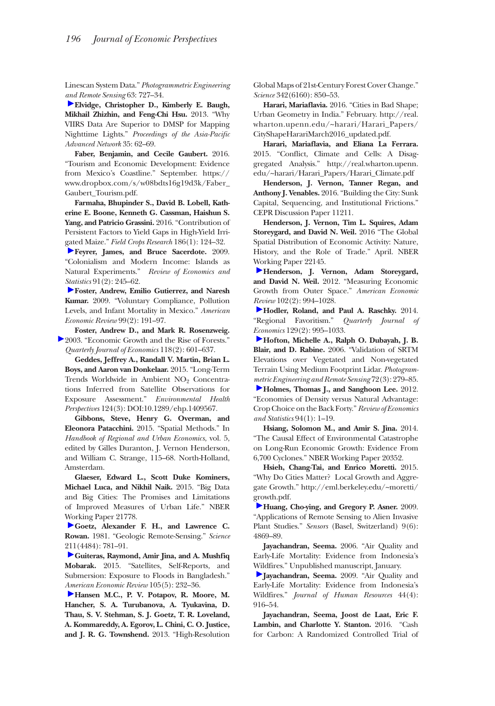Linescan System Data." *Photogrammetric Engineering and Remote Sensing* 63: 727–34.

**Elvidge, Christopher D., Kimberly E. Baugh, Mikhail Zhizhin, and Feng-Chi Hsu.** 2013. "Why VIIRS Data Are Superior to DMSP for Mapping Nighttime Lights." *Proceedings of the Asia-Pacific Advanced Network* 35: 62–69.

**Faber, Benjamin, and Cecile Gaubert.** 2016. "Tourism and Economic Development: Evidence from Mexico's Coastline." September. https:// [www.dropbox.com/s/w08bdts16g19d3k/Faber\\_](https://www.dropbox.com/s/w08bdts16g19d3k/Faber_Gaubert_Tourism.pdf) Gaubert\_Tourism.pdf.

**Farmaha, Bhupinder S., David B. Lobell, Katherine E. Boone, Kenneth G. Cassman, Haishun S.**  Yang, and Patricio Grassini. 2016. "Contribution of Persistent Factors to Yield Gaps in High-Yield Irrigated Maize." *Field Crops Research* 186(1): 124–32.

**Feyrer, James, and Bruce Sacerdote.** 2009. "Colonialism and Modern Income: Islands as Natural Experiments." *Review of Economics and Statistics* 91(2): 245–62.

**Foster, Andrew, Emilio Gutierrez, and Naresh Kumar.** 2009. "Voluntary Compliance, Pollution Levels, and Infant Mortality in Mexico." *American Economic Review* 99(2): 191–97.

**Foster, Andrew D., and Mark R. Rosenzweig.**  2003. "Economic Growth and the Rise of Forests." *Quarterly Journal of Economics* 118(2): 601–637.

**Geddes, Jeffrey A., Randall V. Martin, Brian L. Boys, and Aaron van Donkelaar.** 2015. "Long-Term Trends Worldwide in Ambient NO<sub>2</sub> Concentrations Inferred from Satellite Observations for Exposure Assessment." *Environmental Health Perspectives* 124(3): DOI:10.1289/ehp.1409567.

**Gibbons, Steve, Henry G. Overman, and Eleonora Patacchini.** 2015. "Spatial Methods." In *Handbook of Regional and Urban Economics*, vol. 5, edited by Gilles Duranton, J. Vernon Henderson, and William C. Strange, 115–68. North-Holland, Amsterdam.

**Glaeser, Edward L., Scott Duke Kominers, Michael Luca, and Nikhil Naik.** 2015. "Big Data and Big Cities: The Promises and Limitations of Improved Measures of Urban Life." NBER Working Paper 21778.

**[G](http://pubs.aeaweb.org/action/showLinks?pmid=17740369&crossref=10.1126%2Fscience.211.4484.781&citationId=p_39)oetz, Alexander F. H., and Lawrence C. Rowan.** 1981. "Geologic Remote-Sensing." *Science* 211(4484): 781–91.

**[G](http://pubs.aeaweb.org/action/showLinks?system=10.1257%2Faer.p20151095&citationId=p_40)uiteras, Raymond, Amir Jina, and A. Mushfiq Mobarak.** 2015. "Satellites, Self-Reports, and Submersion: Exposure to Floods in Bangladesh." *American Economic Review* 105(5): 232–36.

**[H](http://pubs.aeaweb.org/action/showLinks?pmid=24233722&crossref=10.1126%2Fscience.1244693&citationId=p_41)ansen M.C., P. V. Potapov, R. Moore, M. Hancher, S. A. Turubanova, A. Tyukavina, D. Thau, S. V. Stehman, S. J. Goetz, T. R. Loveland, A. Kommareddy, A. Egorov, L. Chini, C. O. Justice, and J. R. G. Townshend.** 2013. "High-Resolution Global Maps of 21st-Century Forest Cover Change." *Science* 342(6160): 850–53.

**Harari, Mariaflavia.** 2016. "Cities in Bad Shape; Urban Geometry in India." February. http://real. [wharton.upenn.edu/~harari/Harari\\_Papers/](http://real.wharton.upenn.edu/~harari/Harari_Papers/CityShapeHarariMarch2016_updated.pdf) CityShapeHarariMarch2016\_updated.pdf.

**Harari, Mariaflavia, and Eliana La Ferrara.**  2015. "Conflict, Climate and Cells: A Disag[gregated Analysis." http://real.wharton.upenn.](http://real.wharton.upenn.edu/~harari/Harari_Papers/Harari_Climate.pdf) edu/~harari/Harari\_Papers/Harari\_Climate.pdf

**Henderson, J. Vernon, Tanner Regan, and Anthony J. Venables.** 2016. "Building the City: Sunk Capital, Sequencing, and Institutional Frictions." CEPR Discussion Paper 11211.

**Henderson, J. Vernon, Tim L. Squires, Adam Storeygard, and David N. Weil.** 2016 "The Global Spatial Distribution of Economic Activity: Nature, History, and the Role of Trade." April. NBER Working Paper 22145.

**[H](http://pubs.aeaweb.org/action/showLinks?system=10.1257%2Faer.102.2.994&citationId=p_47)enderson, J. Vernon, Adam Storeygard, and David N. Weil.** 2012. "Measuring Economic Growth from Outer Space." *American Economic Review* 102(2): 994–1028.

**[H](http://pubs.aeaweb.org/action/showLinks?crossref=10.1093%2Fqje%2Fqju004&citationId=p_48)odler, Roland, and Paul A. Raschky.** 2014. "Regional Favoritism." *Quarterly Journal of Economics* 129(2): 995–1033.

**[H](http://pubs.aeaweb.org/action/showLinks?crossref=10.14358%2FPERS.72.3.279&citationId=p_49)ofton, Michelle A., Ralph O. Dubayah, J. B. Blair, and D. Rabine.** 2006. "Validation of SRTM Elevations over Vegetated and Non-vegetated Terrain Using Medium Footprint Lidar. *Photogrammetric Engineering and Remote Sensing* 72(3): 279–85.

**[H](http://pubs.aeaweb.org/action/showLinks?crossref=10.1162%2FREST_a_00149&citationId=p_50)olmes, Thomas J., and Sanghoon Lee.** 2012. "Economies of Density versus Natural Advantage: Crop Choice on the Back Forty." *Review of Economics and Statistics* 94(1): 1–19.

**Hsiang, Solomon M., and Amir S. Jina.** 2014. "The Causal Effect of Environmental Catastrophe on Long-Run Economic Growth: Evidence From 6,700 Cyclones." NBER Working Paper 20352.

**Hsieh, Chang-Tai, and Enrico Moretti.** 2015. "Why Do Cities Matter? Local Growth and Aggre[gate Growth." http://eml.berkeley.edu/~moretti/](http://eml.berkeley.edu/~moretti/growth.pdf) growth.pdf.

**[H](http://pubs.aeaweb.org/action/showLinks?pmid=22408558&crossref=10.3390%2Fs90604869&citationId=p_53)uang, Cho-ying, and Gregory P. Asner.** 2009. "Applications of Remote Sensing to Alien Invasive Plant Studies." *Sensors* (Basel, Switzerland) 9(6): 4869–89.

**Jayachandran, Seema.** 2006. "Air Quality and Early-Life Mortality: Evidence from Indonesia's Wildfires." Unpublished manuscript, January.

**[J](http://pubs.aeaweb.org/action/showLinks?crossref=10.1353%2Fjhr.2009.0001&citationId=p_55)ayachandran, Seema.** 2009. "Air Quality and Early-Life Mortality: Evidence from Indonesia's Wildfires." *Journal of Human Resources* 44(4): 916–54.

**Jayachandran, Seema, Joost de Laat, Eric F. Lambin, and Charlotte Y. Stanton.** 2016. "Cash for Carbon: A Randomized Controlled Trial of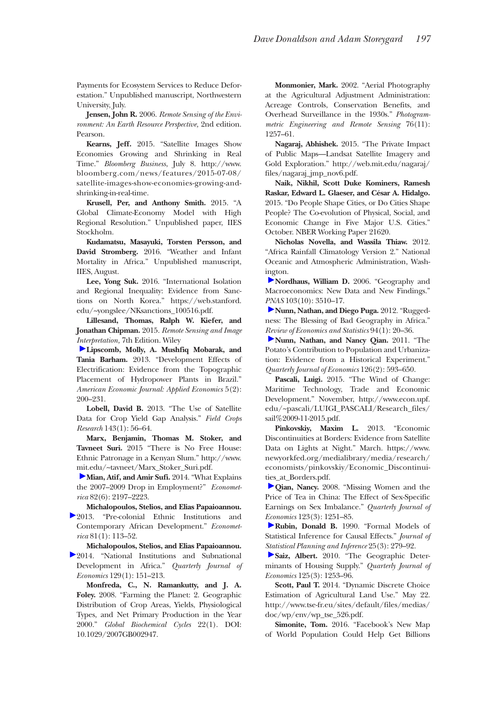Payments for Ecosystem Services to Reduce Deforestation." Unpublished manuscript, Northwestern University, July.

**Jensen, John R.** 2006. *Remote Sensing of the Environment: An Earth Resource Perspective,* 2nd edition. Pearson.

**Kearns, Jeff.** 2015. "Satellite Images Show Economies Growing and Shrinking in Real Time." *Bloomberg Business*, July 8. [http://www.](http://www.bloomberg.com/news/features/2015-07-08/satellite-images-show-economies-growing-and-shrinking-in-real-time) [bloomberg.com/news/features/2015-07-08/](http://www.bloomberg.com/news/features/2015-07-08/satellite-images-show-economies-growing-and-shrinking-in-real-time) [satellite-images-show-economies-growing-and](http://www.bloomberg.com/news/features/2015-07-08/satellite-images-show-economies-growing-and-shrinking-in-real-time)[shrinking-in-real-time.](http://www.bloomberg.com/news/features/2015-07-08/satellite-images-show-economies-growing-and-shrinking-in-real-time)

**Krusell, Per, and Anthony Smith.** 2015. "A Global Climate-Economy Model with High Regional Resolution." Unpublished paper, IIES Stockholm.

**Kudamatsu, Masayuki, Torsten Persson, and David Stromberg.** 2016. "Weather and Infant Mortality in Africa." Unpublished manuscript, IIES, August.

**Lee, Yong Suk.** 2016. "International Isolation and Regional Inequality: Evidence from Sanc[tions on North Korea." https://web.stanford.](https://web.stanford.edu/~yongslee/NKsanctions_100516.pdf) edu/~yongslee/NKsanctions\_100516.pdf.

**Lillesand, Thomas, Ralph W. Kiefer, and Jonathan Chipman.** 2015. *Remote Sensing and Image Interpretation,* 7th Edition. Wiley

**Lipscomb, Molly, A. Mushfiq Mobarak, and Tania Barham.** 2013. "Development Effects of Electrification: Evidence from the Topographic Placement of Hydropower Plants in Brazil." *American Economic Journal: Applied Economics* 5(2): 200–231.

Lobell, David B. 2013. "The Use of Satellite Data for Crop Yield Gap Analysis." *Field Crops Research* 143(1): 56–64.

**Marx, Benjamin, Thomas M. Stoker, and Tavneet Suri.** 2015 "There is No Free House: Ethnic Patronage in a Kenyan Slum." [http://www.](http://www.mit.edu/~tavneet/Marx_Stoker_Suri.pdf) [mit.edu/~tavneet/Marx\\_Stoker\\_Suri.pdf.](http://www.mit.edu/~tavneet/Marx_Stoker_Suri.pdf)

**Mian, Atif, and Amir Sufi.** 2014. "What Explains the 2007–2009 Drop in Employment?" *Econometrica* 82(6): 2197–2223.

**Michalopoulos, Stelios, and Elias Papaioannou.**  2013. "Pre-colonial Ethnic Institutions and Contemporary African Development." *Econometrica* 81(1): 113–52.

**Michalopoulos, Stelios, and Elias Papaioannou.**  2014. "National Institutions and Subnational Development in Africa." *Quarterly Journal of Economics* 129(1): 151–213.

**Monfreda, C., N. Ramankutty, and J. A. Foley.** 2008. "Farming the Planet: 2. Geographic Distribution of Crop Areas, Yields, Physiological Types, and Net Primary Production in the Year 2000." *Global Biochemical Cycles* 22(1). DOI: 10.1029/2007GB002947.

**Monmonier, Mark.** 2002. "Aerial Photography at the Agricultural Adjustment Administration: Acreage Controls, Conservation Benefits, and Overhead Surveillance in the 1930s." *Photogrammetric Engineering and Remote Sensing* 76(11): 1257–61.

**Nagaraj, Abhishek.** 2015. "The Private Impact of Public Maps—Landsat Satellite Imagery and [Gold Exploration." http://web.mit.edu/nagaraj/](http://web.mit.edu/nagaraj/files/nagaraj_jmp_nov6.pdf) files/nagaraj\_jmp\_nov6.pdf.

**Naik, Nikhil, Scott Duke Kominers, Ramesh Raskar, Edward L. Glaeser, and César A. Hidalgo.**  2015. "Do People Shape Cities, or Do Cities Shape People? The Co-evolution of Physical, Social, and Economic Change in Five Major U.S. Cities." October. NBER Working Paper 21620.

**Nicholas Novella, and Wassila Thiaw.** 2012. "Africa Rainfall Climatology Version 2." National Oceanic and Atmospheric Administration, Washington.

**Nordhaus, William D.** 2006. "Geography and Macroeconomics: New Data and New Findings." *PNAS* 103(10): 3510–17.

**Nunn, Nathan, and Diego Puga.** 2012. "Ruggedness: The Blessing of Bad Geography in Africa." *Review of Economics and Statistics* 94(1): 20–36.

**Nunn, Nathan, and Nancy Qian.** 2011. "The Potato's Contribution to Population and Urbanization: Evidence from a Historical Experiment." *Quarterly Journal of Economics* 126(2): 593–650.

**Pascali, Luigi.** 2015. "The Wind of Change: Maritime Technology, Trade and Economic [Development." November, http://www.econ.upf.](http://www.econ.upf.edu/~pascali/LUIGI_PASCALI/Research_files/sail%2009-11-2015.pdf) edu/~pascali/LUIGI\_PASCALI/Research\_files/ sail%2009-11-2015.pdf.

**Pinkovskiy, Maxim L.** 2013. "Economic Discontinuities at Borders: Evidence from Satellite [Data on Lights at Night." March. https://www.](https://www.newyorkfed.org/medialibrary/media/research/economists/pinkovskiy/Economic_Discontinuities_at_Borders.pdf) newyorkfed.org/medialibrary/media/research/ economists/pinkovskiy/Economic\_Discontinuities\_at\_Borders.pdf.

**Qian, Nancy.** 2008. "Missing Women and the Price of Tea in China: The Effect of Sex-Specific Earnings on Sex Imbalance." *Quarterly Journal of Economics* 123(3): 1251–85.

**Rubin, Donald B.** 1990. "Formal Models of Statistical Inference for Causal Effects." *Journal of Statistical Planning and Inference* 25(3): 279–92.

**Saiz, Albert.** 2010. "The Geographic Determinants of Housing Supply." *Quarterly Journal of Economics* 125(3): 1253–96.

**Scott, Paul T.** 2014. "Dynamic Discrete Choice Estimation of Agricultural Land Use." May 22. [http://www.tse-fr.eu/sites/default/files/medias/](http://www.tse-fr.eu/sites/default/files/medias/doc/wp/env/wp_tse_526.pdf) doc/wp/env/wp\_tse\_526.pdf.

**Simonite, Tom.** 2016. "Facebook's New Map of World Population Could Help Get Billions